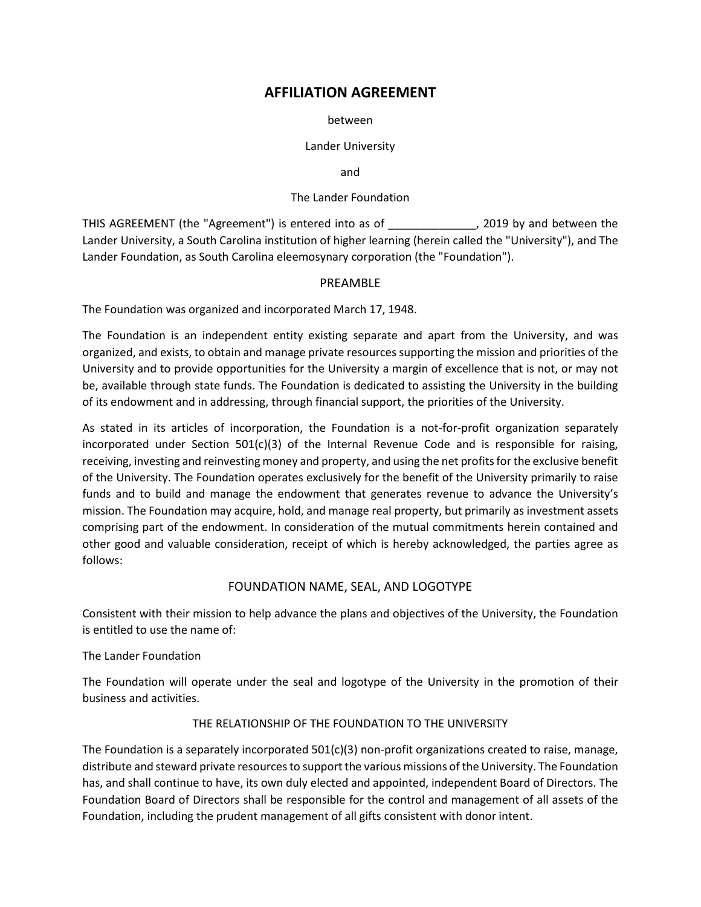# **AFFILIATION AGREEMENT**

between

#### Lander University

and

#### The Lander Foundation

THIS AGREEMENT (the "Agreement") is entered into as of \_\_\_\_\_\_\_\_\_\_\_\_\_\_, 2019 by and between the Lander University, a South Carolina institution of higher learning (herein called the "University"), and The Lander Foundation, as South Carolina eleemosynary corporation (the "Foundation").

# PREAMBLE

The Foundation was organized and incorporated March 17, 1948.

The Foundation is an independent entity existing separate and apart from the University, and was organized, and exists, to obtain and manage private resources supporting the mission and priorities of the University and to provide opportunities for the University a margin of excellence that is not, or may not be, available through state funds. The Foundation is dedicated to assisting the University in the building of its endowment and in addressing, through financial support, the priorities of the University.

As stated in its articles of incorporation, the Foundation is a not-for-profit organization separately incorporated under Section  $501(c)(3)$  of the Internal Revenue Code and is responsible for raising, receiving, investing and reinvesting money and property, and using the net profits for the exclusive benefit of the University. The Foundation operates exclusively for the benefit of the University primarily to raise funds and to build and manage the endowment that generates revenue to advance the University's mission. The Foundation may acquire, hold, and manage real property, but primarily as investment assets comprising part of the endowment. In consideration of the mutual commitments herein contained and other good and valuable consideration, receipt of which is hereby acknowledged, the parties agree as follows:

# FOUNDATION NAME, SEAL, AND LOGOTYPE

Consistent with their mission to help advance the plans and objectives of the University, the Foundation is entitled to use the name of:

#### The Lander Foundation

The Foundation will operate under the seal and logotype of the University in the promotion of their business and activities.

# THE RELATIONSHIP OF THE FOUNDATION TO THE UNIVERSITY

The Foundation is a separately incorporated 501(c)(3) non-profit organizations created to raise, manage, distribute and steward private resources to support the various missions of the University. The Foundation has, and shall continue to have, its own duly elected and appointed, independent Board of Directors. The Foundation Board of Directors shall be responsible for the control and management of all assets of the Foundation, including the prudent management of all gifts consistent with donor intent.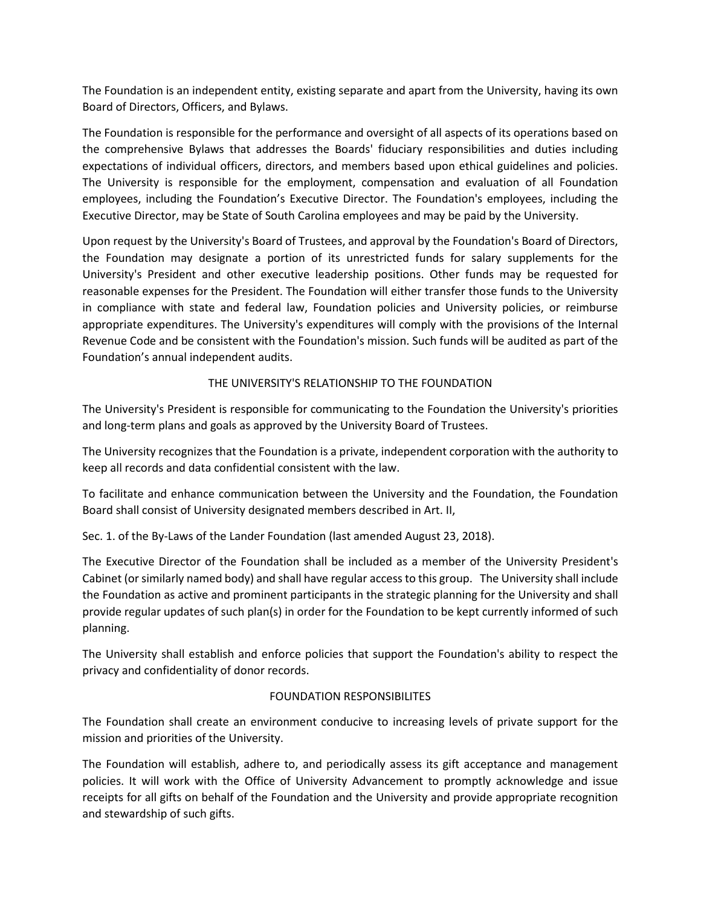The Foundation is an independent entity, existing separate and apart from the University, having its own Board of Directors, Officers, and Bylaws.

The Foundation is responsible for the performance and oversight of all aspects of its operations based on the comprehensive Bylaws that addresses the Boards' fiduciary responsibilities and duties including expectations of individual officers, directors, and members based upon ethical guidelines and policies. The University is responsible for the employment, compensation and evaluation of all Foundation employees, including the Foundation's Executive Director. The Foundation's employees, including the Executive Director, may be State of South Carolina employees and may be paid by the University.

Upon request by the University's Board of Trustees, and approval by the Foundation's Board of Directors, the Foundation may designate a portion of its unrestricted funds for salary supplements for the University's President and other executive leadership positions. Other funds may be requested for reasonable expenses for the President. The Foundation will either transfer those funds to the University in compliance with state and federal law, Foundation policies and University policies, or reimburse appropriate expenditures. The University's expenditures will comply with the provisions of the Internal Revenue Code and be consistent with the Foundation's mission. Such funds will be audited as part of the Foundation's annual independent audits.

# THE UNIVERSITY'S RELATIONSHIP TO THE FOUNDATION

The University's President is responsible for communicating to the Foundation the University's priorities and long-term plans and goals as approved by the University Board of Trustees.

The University recognizes that the Foundation is a private, independent corporation with the authority to keep all records and data confidential consistent with the law.

To facilitate and enhance communication between the University and the Foundation, the Foundation Board shall consist of University designated members described in Art. II,

Sec. 1. of the By-Laws of the Lander Foundation (last amended August 23, 2018).

The Executive Director of the Foundation shall be included as a member of the University President's Cabinet (or similarly named body) and shall have regular access to this group. The University shall include the Foundation as active and prominent participants in the strategic planning for the University and shall provide regular updates of such plan(s) in order for the Foundation to be kept currently informed of such planning.

The University shall establish and enforce policies that support the Foundation's ability to respect the privacy and confidentiality of donor records.

#### FOUNDATION RESPONSIBILITES

The Foundation shall create an environment conducive to increasing levels of private support for the mission and priorities of the University.

The Foundation will establish, adhere to, and periodically assess its gift acceptance and management policies. It will work with the Office of University Advancement to promptly acknowledge and issue receipts for all gifts on behalf of the Foundation and the University and provide appropriate recognition and stewardship of such gifts.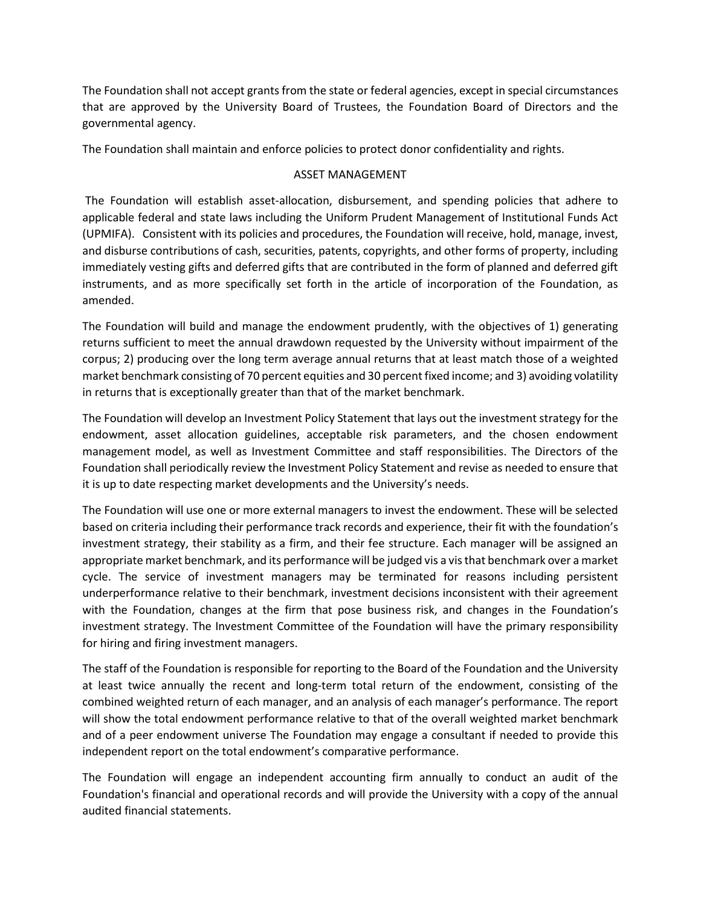The Foundation shall not accept grants from the state or federal agencies, except in special circumstances that are approved by the University Board of Trustees, the Foundation Board of Directors and the governmental agency.

The Foundation shall maintain and enforce policies to protect donor confidentiality and rights.

### ASSET MANAGEMENT

The Foundation will establish asset-allocation, disbursement, and spending policies that adhere to applicable federal and state laws including the Uniform Prudent Management of Institutional Funds Act (UPMIFA). Consistent with its policies and procedures, the Foundation will receive, hold, manage, invest, and disburse contributions of cash, securities, patents, copyrights, and other forms of property, including immediately vesting gifts and deferred gifts that are contributed in the form of planned and deferred gift instruments, and as more specifically set forth in the article of incorporation of the Foundation, as amended.

The Foundation will build and manage the endowment prudently, with the objectives of 1) generating returns sufficient to meet the annual drawdown requested by the University without impairment of the corpus; 2) producing over the long term average annual returns that at least match those of a weighted market benchmark consisting of 70 percent equities and 30 percent fixed income; and 3) avoiding volatility in returns that is exceptionally greater than that of the market benchmark.

The Foundation will develop an Investment Policy Statement that lays out the investment strategy for the endowment, asset allocation guidelines, acceptable risk parameters, and the chosen endowment management model, as well as Investment Committee and staff responsibilities. The Directors of the Foundation shall periodically review the Investment Policy Statement and revise as needed to ensure that it is up to date respecting market developments and the University's needs.

The Foundation will use one or more external managers to invest the endowment. These will be selected based on criteria including their performance track records and experience, their fit with the foundation's investment strategy, their stability as a firm, and their fee structure. Each manager will be assigned an appropriate market benchmark, and its performance will be judged vis a vis that benchmark over a market cycle. The service of investment managers may be terminated for reasons including persistent underperformance relative to their benchmark, investment decisions inconsistent with their agreement with the Foundation, changes at the firm that pose business risk, and changes in the Foundation's investment strategy. The Investment Committee of the Foundation will have the primary responsibility for hiring and firing investment managers.

The staff of the Foundation is responsible for reporting to the Board of the Foundation and the University at least twice annually the recent and long-term total return of the endowment, consisting of the combined weighted return of each manager, and an analysis of each manager's performance. The report will show the total endowment performance relative to that of the overall weighted market benchmark and of a peer endowment universe The Foundation may engage a consultant if needed to provide this independent report on the total endowment's comparative performance.

The Foundation will engage an independent accounting firm annually to conduct an audit of the Foundation's financial and operational records and will provide the University with a copy of the annual audited financial statements.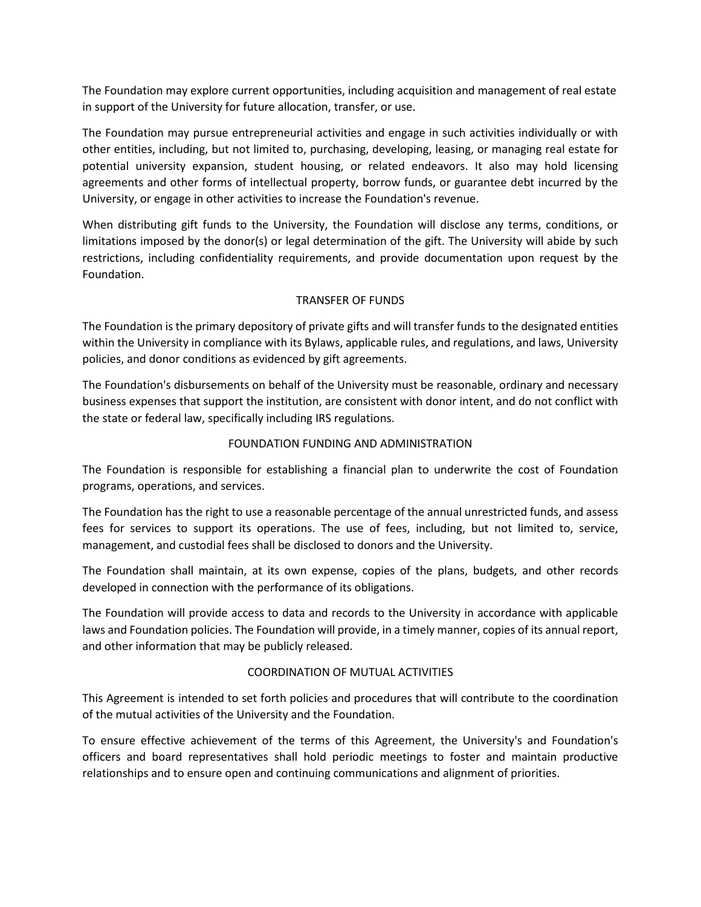The Foundation may explore current opportunities, including acquisition and management of real estate in support of the University for future allocation, transfer, or use.

The Foundation may pursue entrepreneurial activities and engage in such activities individually or with other entities, including, but not limited to, purchasing, developing, leasing, or managing real estate for potential university expansion, student housing, or related endeavors. It also may hold licensing agreements and other forms of intellectual property, borrow funds, or guarantee debt incurred by the University, or engage in other activities to increase the Foundation's revenue.

When distributing gift funds to the University, the Foundation will disclose any terms, conditions, or limitations imposed by the donor(s) or legal determination of the gift. The University will abide by such restrictions, including confidentiality requirements, and provide documentation upon request by the Foundation.

# TRANSFER OF FUNDS

The Foundation is the primary depository of private gifts and will transfer funds to the designated entities within the University in compliance with its Bylaws, applicable rules, and regulations, and laws, University policies, and donor conditions as evidenced by gift agreements.

The Foundation's disbursements on behalf of the University must be reasonable, ordinary and necessary business expenses that support the institution, are consistent with donor intent, and do not conflict with the state or federal law, specifically including IRS regulations.

# FOUNDATION FUNDING AND ADMINISTRATION

The Foundation is responsible for establishing a financial plan to underwrite the cost of Foundation programs, operations, and services.

The Foundation has the right to use a reasonable percentage of the annual unrestricted funds, and assess fees for services to support its operations. The use of fees, including, but not limited to, service, management, and custodial fees shall be disclosed to donors and the University.

The Foundation shall maintain, at its own expense, copies of the plans, budgets, and other records developed in connection with the performance of its obligations.

The Foundation will provide access to data and records to the University in accordance with applicable laws and Foundation policies. The Foundation will provide, in a timely manner, copies of its annual report, and other information that may be publicly released.

#### COORDINATION OF MUTUAL ACTIVITIES

This Agreement is intended to set forth policies and procedures that will contribute to the coordination of the mutual activities of the University and the Foundation.

To ensure effective achievement of the terms of this Agreement, the University's and Foundation's officers and board representatives shall hold periodic meetings to foster and maintain productive relationships and to ensure open and continuing communications and alignment of priorities.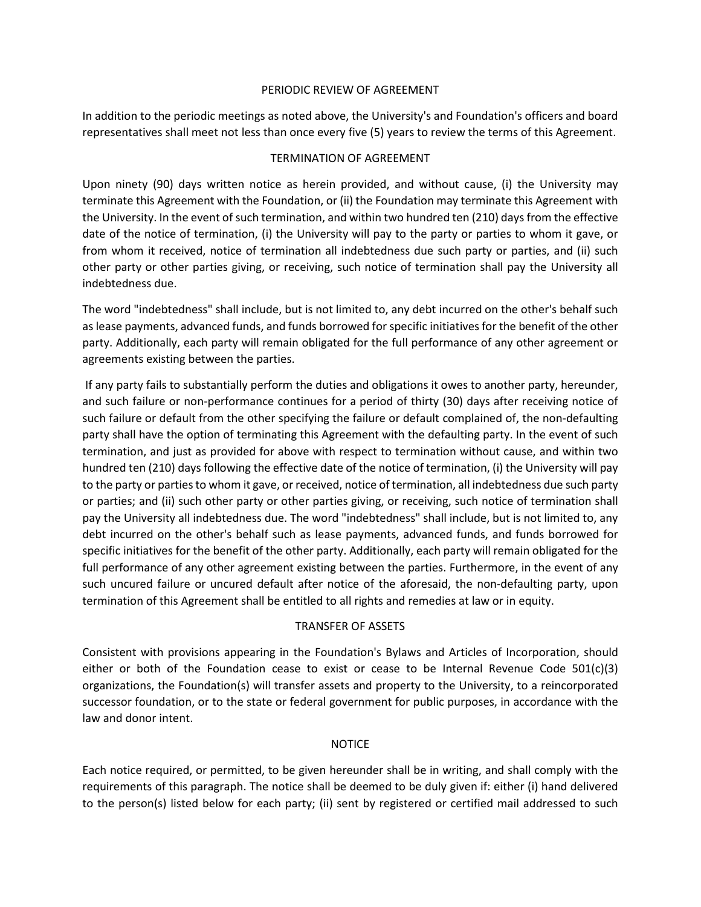#### PERIODIC REVIEW OF AGREEMENT

In addition to the periodic meetings as noted above, the University's and Foundation's officers and board representatives shall meet not less than once every five (5) years to review the terms of this Agreement.

#### TERMINATION OF AGREEMENT

Upon ninety (90) days written notice as herein provided, and without cause, (i) the University may terminate this Agreement with the Foundation, or (ii) the Foundation may terminate this Agreement with the University. In the event of such termination, and within two hundred ten (210) days from the effective date of the notice of termination, (i) the University will pay to the party or parties to whom it gave, or from whom it received, notice of termination all indebtedness due such party or parties, and (ii) such other party or other parties giving, or receiving, such notice of termination shall pay the University all indebtedness due.

The word "indebtedness" shall include, but is not limited to, any debt incurred on the other's behalf such as lease payments, advanced funds, and funds borrowed for specific initiatives for the benefit of the other party. Additionally, each party will remain obligated for the full performance of any other agreement or agreements existing between the parties.

If any party fails to substantially perform the duties and obligations it owes to another party, hereunder, and such failure or non-performance continues for a period of thirty (30) days after receiving notice of such failure or default from the other specifying the failure or default complained of, the non-defaulting party shall have the option of terminating this Agreement with the defaulting party. In the event of such termination, and just as provided for above with respect to termination without cause, and within two hundred ten (210) days following the effective date of the notice of termination, (i) the University will pay to the party or parties to whom it gave, or received, notice of termination, all indebtedness due such party or parties; and (ii) such other party or other parties giving, or receiving, such notice of termination shall pay the University all indebtedness due. The word "indebtedness" shall include, but is not limited to, any debt incurred on the other's behalf such as lease payments, advanced funds, and funds borrowed for specific initiatives for the benefit of the other party. Additionally, each party will remain obligated for the full performance of any other agreement existing between the parties. Furthermore, in the event of any such uncured failure or uncured default after notice of the aforesaid, the non-defaulting party, upon termination of this Agreement shall be entitled to all rights and remedies at law or in equity.

#### TRANSFER OF ASSETS

Consistent with provisions appearing in the Foundation's Bylaws and Articles of Incorporation, should either or both of the Foundation cease to exist or cease to be Internal Revenue Code  $501(c)(3)$ organizations, the Foundation(s) will transfer assets and property to the University, to a reincorporated successor foundation, or to the state or federal government for public purposes, in accordance with the law and donor intent.

#### NOTICE

Each notice required, or permitted, to be given hereunder shall be in writing, and shall comply with the requirements of this paragraph. The notice shall be deemed to be duly given if: either (i) hand delivered to the person(s) listed below for each party; (ii) sent by registered or certified mail addressed to such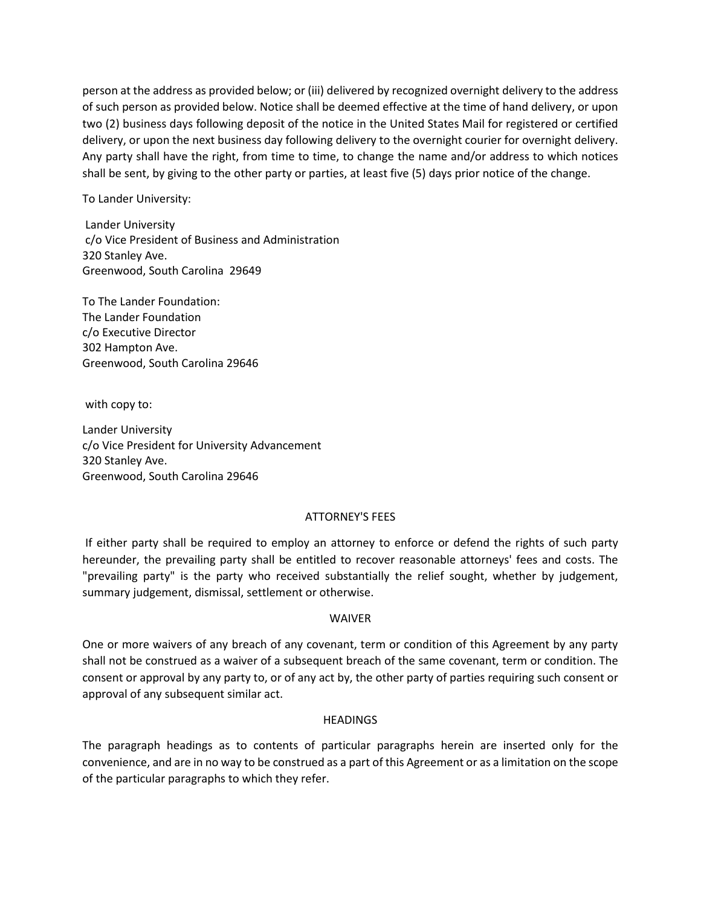person at the address as provided below; or (iii) delivered by recognized overnight delivery to the address of such person as provided below. Notice shall be deemed effective at the time of hand delivery, or upon two (2) business days following deposit of the notice in the United States Mail for registered or certified delivery, or upon the next business day following delivery to the overnight courier for overnight delivery. Any party shall have the right, from time to time, to change the name and/or address to which notices shall be sent, by giving to the other party or parties, at least five (5) days prior notice of the change.

To Lander University:

Lander University c/o Vice President of Business and Administration 320 Stanley Ave. Greenwood, South Carolina 29649

To The Lander Foundation: The Lander Foundation c/o Executive Director 302 Hampton Ave. Greenwood, South Carolina 29646

with copy to:

Lander University c/o Vice President for University Advancement 320 Stanley Ave. Greenwood, South Carolina 29646

#### ATTORNEY'S FEES

If either party shall be required to employ an attorney to enforce or defend the rights of such party hereunder, the prevailing party shall be entitled to recover reasonable attorneys' fees and costs. The "prevailing party" is the party who received substantially the relief sought, whether by judgement, summary judgement, dismissal, settlement or otherwise.

#### WAIVER

One or more waivers of any breach of any covenant, term or condition of this Agreement by any party shall not be construed as a waiver of a subsequent breach of the same covenant, term or condition. The consent or approval by any party to, or of any act by, the other party of parties requiring such consent or approval of any subsequent similar act.

#### **HEADINGS**

The paragraph headings as to contents of particular paragraphs herein are inserted only for the convenience, and are in no way to be construed as a part of this Agreement or as a limitation on the scope of the particular paragraphs to which they refer.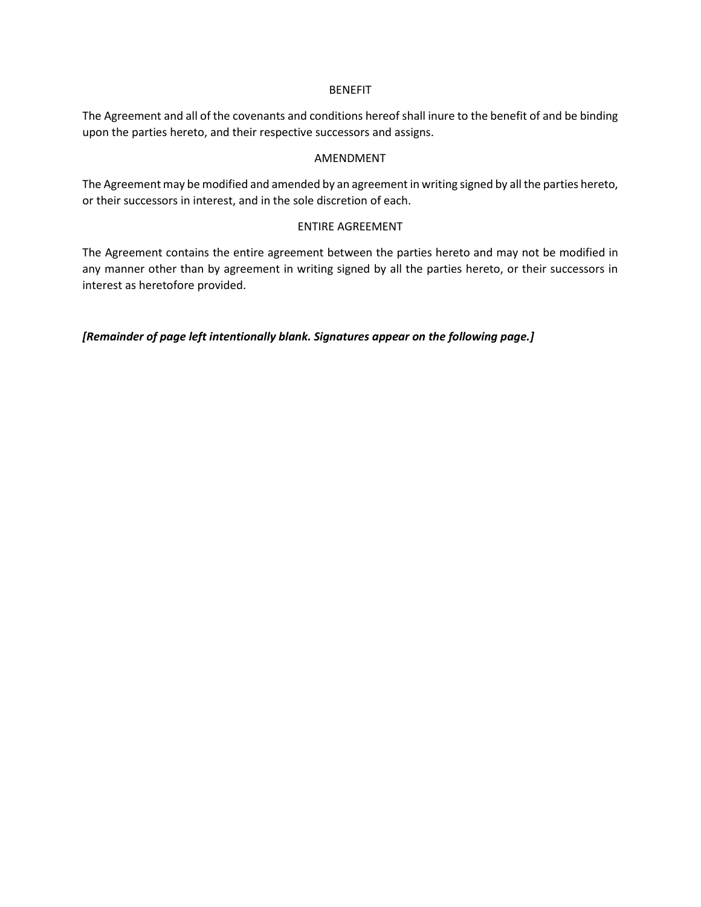#### **BENEFIT**

The Agreement and all of the covenants and conditions hereof shall inure to the benefit of and be binding upon the parties hereto, and their respective successors and assigns.

#### AMENDMENT

The Agreement may be modified and amended by an agreement in writing signed by all the parties hereto, or their successors in interest, and in the sole discretion of each.

# ENTIRE AGREEMENT

The Agreement contains the entire agreement between the parties hereto and may not be modified in any manner other than by agreement in writing signed by all the parties hereto, or their successors in interest as heretofore provided.

*[Remainder of page left intentionally blank. Signatures appear on the following page.]*